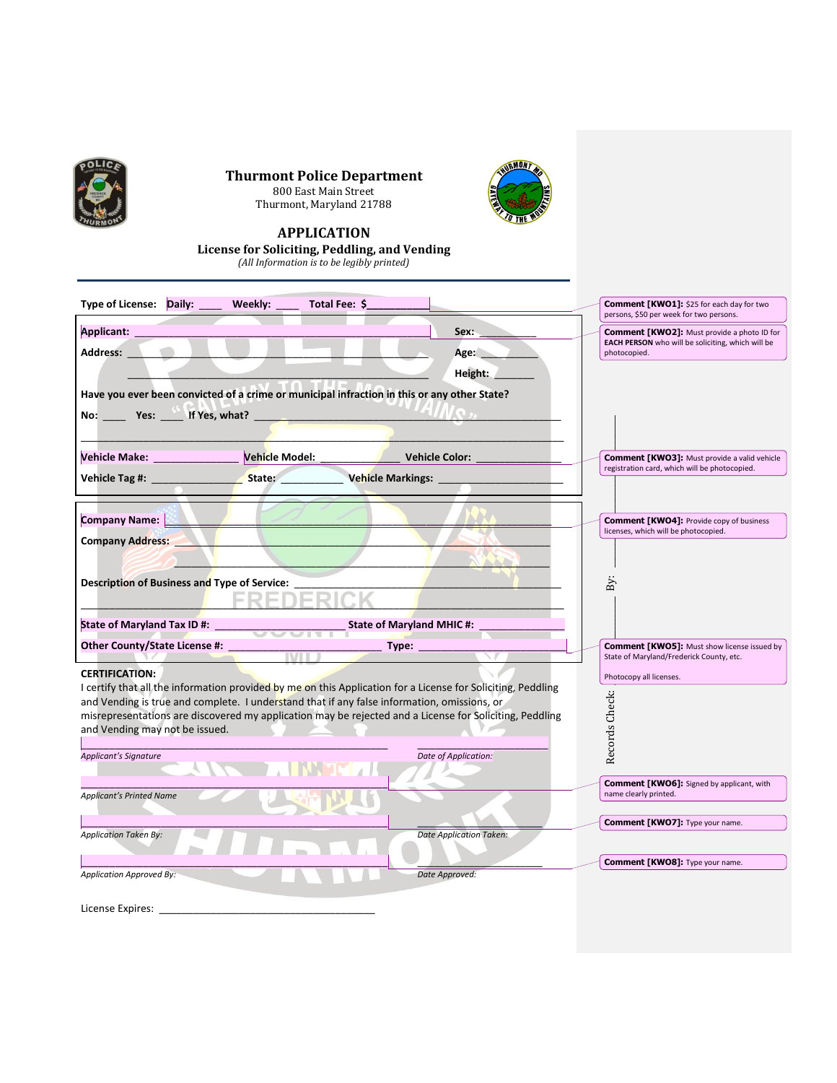

**Thurmont Police Department** 800 East Main Street Thurmont, Maryland 21788



## **APPLICATION**

**License for Soliciting, Peddling, and Vending**

*(All Information is to be legibly printed)*

| Type of License: Daily:<br>Weekly:                                                                                                                                                                          | Total Fee: \$ |                                |                                                                                                                         |
|-------------------------------------------------------------------------------------------------------------------------------------------------------------------------------------------------------------|---------------|--------------------------------|-------------------------------------------------------------------------------------------------------------------------|
|                                                                                                                                                                                                             |               |                                | <b>Comment [KWO1]:</b> \$25 for each day for two<br>persons, \$50 per week for two persons.                             |
| Applicant:<br>Sex:<br>Address:<br>Age:                                                                                                                                                                      |               |                                | <b>Comment [KWO2]:</b> Must provide a photo ID for<br>EACH PERSON who will be soliciting, which will be<br>photocopied. |
|                                                                                                                                                                                                             |               |                                |                                                                                                                         |
| Have you ever been convicted of a crime or municipal infraction in this or any other State?                                                                                                                 |               |                                |                                                                                                                         |
| No: $Y$ es: If Yes, what?                                                                                                                                                                                   |               |                                |                                                                                                                         |
|                                                                                                                                                                                                             |               |                                |                                                                                                                         |
| Vehicle Make: ____________________ Vehicle Model: _______________________________                                                                                                                           |               |                                | <b>Comment [KWO3]:</b> Must provide a valid vehicle                                                                     |
|                                                                                                                                                                                                             |               |                                | registration card, which will be photocopied.                                                                           |
|                                                                                                                                                                                                             |               | Vehicle Markings: __________   |                                                                                                                         |
|                                                                                                                                                                                                             |               |                                |                                                                                                                         |
| Company Name:                                                                                                                                                                                               |               |                                | <b>Comment [KWO4]: Provide copy of business</b><br>licenses, which will be photocopied.                                 |
| <b>Company Address:</b>                                                                                                                                                                                     |               |                                |                                                                                                                         |
|                                                                                                                                                                                                             |               |                                |                                                                                                                         |
| Description of Business and Type of Service:                                                                                                                                                                |               |                                | By                                                                                                                      |
|                                                                                                                                                                                                             |               |                                |                                                                                                                         |
| State of Maryland Tax ID #: ____<br><b>State of Maryland MHIC #:</b>                                                                                                                                        |               |                                |                                                                                                                         |
| Other County/State License #: _                                                                                                                                                                             |               | Type:                          | <b>Comment [KWO5]: Must show license issued by</b>                                                                      |
|                                                                                                                                                                                                             | <b>IVIII</b>  |                                | State of Maryland/Frederick County, etc.                                                                                |
| <b>CERTIFICATION:</b>                                                                                                                                                                                       |               |                                | Photocopy all licenses.                                                                                                 |
| I certify that all the information provided by me on this Application for a License for Soliciting, Peddling<br>and Vending is true and complete. I understand that if any false information, omissions, or |               |                                |                                                                                                                         |
| misrepresentations are discovered my application may be rejected and a License for Soliciting, Peddling                                                                                                     |               |                                | Records Check:                                                                                                          |
| and Vending may not be issued.                                                                                                                                                                              |               |                                |                                                                                                                         |
| Applicant's Signature                                                                                                                                                                                       |               | Date of Application:           |                                                                                                                         |
|                                                                                                                                                                                                             |               |                                |                                                                                                                         |
| <b>Applicant's Printed Name</b>                                                                                                                                                                             |               |                                | <b>Comment [KWO6]:</b> Signed by applicant, with<br>name clearly printed.                                               |
|                                                                                                                                                                                                             |               |                                |                                                                                                                         |
| <b>Application Taken By:</b>                                                                                                                                                                                |               | <b>Date Application Taken:</b> | Comment [KWO7]: Type your name.                                                                                         |
|                                                                                                                                                                                                             |               |                                |                                                                                                                         |
| Application Approved By:                                                                                                                                                                                    |               | Date Approved:                 | Comment [KWO8]: Type your name.                                                                                         |
|                                                                                                                                                                                                             |               |                                |                                                                                                                         |
| License Expires:                                                                                                                                                                                            |               |                                |                                                                                                                         |